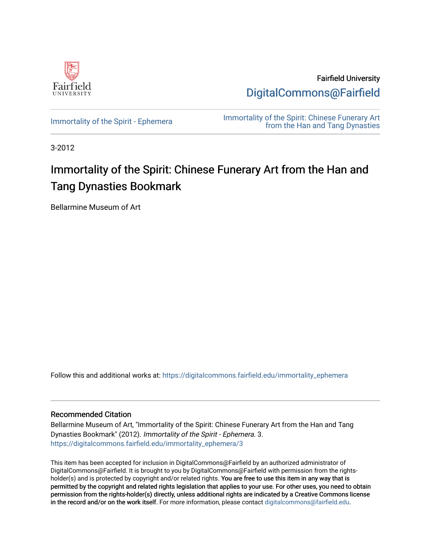

Fairfield University [DigitalCommons@Fairfield](https://digitalcommons.fairfield.edu/) 

[Immortality of the Spirit - Ephemera](https://digitalcommons.fairfield.edu/immortality_ephemera) **Immortality of the Spirit: Chinese Funerary Art** [from the Han and Tang Dynasties](https://digitalcommons.fairfield.edu/immortality) 

3-2012

# Immortality of the Spirit: Chinese Funerary Art from the Han and Tang Dynasties Bookmark

Bellarmine Museum of Art

Follow this and additional works at: [https://digitalcommons.fairfield.edu/immortality\\_ephemera](https://digitalcommons.fairfield.edu/immortality_ephemera?utm_source=digitalcommons.fairfield.edu%2Fimmortality_ephemera%2F3&utm_medium=PDF&utm_campaign=PDFCoverPages) 

#### Recommended Citation

Bellarmine Museum of Art, "Immortality of the Spirit: Chinese Funerary Art from the Han and Tang Dynasties Bookmark" (2012). Immortality of the Spirit - Ephemera. 3. [https://digitalcommons.fairfield.edu/immortality\\_ephemera/3](https://digitalcommons.fairfield.edu/immortality_ephemera/3?utm_source=digitalcommons.fairfield.edu%2Fimmortality_ephemera%2F3&utm_medium=PDF&utm_campaign=PDFCoverPages)

This item has been accepted for inclusion in DigitalCommons@Fairfield by an authorized administrator of DigitalCommons@Fairfield. It is brought to you by DigitalCommons@Fairfield with permission from the rightsholder(s) and is protected by copyright and/or related rights. You are free to use this item in any way that is permitted by the copyright and related rights legislation that applies to your use. For other uses, you need to obtain permission from the rights-holder(s) directly, unless additional rights are indicated by a Creative Commons license in the record and/or on the work itself. For more information, please contact [digitalcommons@fairfield.edu.](mailto:digitalcommons@fairfield.edu)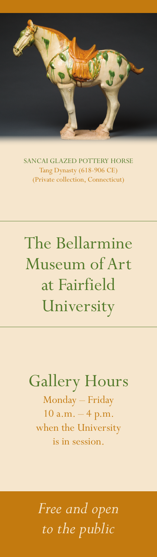

SANCAI GLAZED POTTERY HORSE Tang Dynasty (618-906 CE) (Private collection, Connecticut)

# The Bellarmine Museum of Art at Fairfield University

#### Gallery Hours

Monday – Friday  $10 a.m. - 4 p.m.$ when the University is in session.

*Free and open to the public*